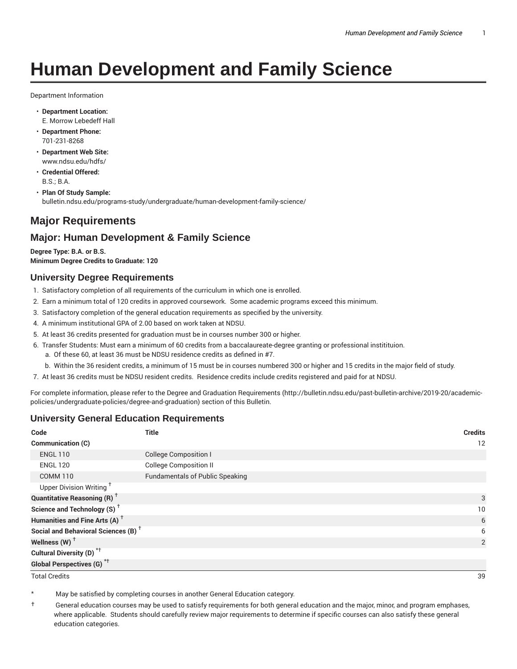# **Human Development and Family Science**

Department Information

- **Department Location:** E. Morrow Lebedeff Hall
- **Department Phone:** 701-231-8268
- **Department Web Site:** www.ndsu.edu/hdfs/
- **Credential Offered:** B.S.; B.A.
- **Plan Of Study Sample:** bulletin.ndsu.edu/programs-study/undergraduate/human-development-family-science/

# **Major Requirements**

# **Major: Human Development & Family Science**

**Degree Type: B.A. or B.S. Minimum Degree Credits to Graduate: 120**

#### **University Degree Requirements**

- 1. Satisfactory completion of all requirements of the curriculum in which one is enrolled.
- 2. Earn a minimum total of 120 credits in approved coursework. Some academic programs exceed this minimum.
- 3. Satisfactory completion of the general education requirements as specified by the university.
- 4. A minimum institutional GPA of 2.00 based on work taken at NDSU.
- 5. At least 36 credits presented for graduation must be in courses number 300 or higher.
- 6. Transfer Students: Must earn a minimum of 60 credits from a baccalaureate-degree granting or professional institituion.
	- a. Of these 60, at least 36 must be NDSU residence credits as defined in #7.
	- b. Within the 36 resident credits, a minimum of 15 must be in courses numbered 300 or higher and 15 credits in the major field of study.
- 7. At least 36 credits must be NDSU resident credits. Residence credits include credits registered and paid for at NDSU.

For complete information, please refer to the Degree and Graduation Requirements (http://bulletin.ndsu.edu/past-bulletin-archive/2019-20/academicpolicies/undergraduate-policies/degree-and-graduation) section of this Bulletin.

## **University General Education Requirements**

| Code                                            | <b>Title</b>                           | <b>Credits</b> |
|-------------------------------------------------|----------------------------------------|----------------|
| Communication (C)                               |                                        | 12             |
| <b>ENGL 110</b>                                 | <b>College Composition I</b>           |                |
| <b>ENGL 120</b>                                 | <b>College Composition II</b>          |                |
| <b>COMM 110</b>                                 | <b>Fundamentals of Public Speaking</b> |                |
| Upper Division Writing <sup>+</sup>             |                                        |                |
| <b>Quantitative Reasoning (R)</b> <sup>†</sup>  |                                        | 3              |
| Science and Technology (S) <sup>+</sup>         |                                        | 10             |
| Humanities and Fine Arts (A) <sup>+</sup>       |                                        | 6              |
| Social and Behavioral Sciences (B) <sup>+</sup> |                                        | 6              |
| Wellness $(W)$ <sup>+</sup>                     |                                        | 2              |
| Cultural Diversity (D) <sup>*†</sup>            |                                        |                |
| <b>Global Perspectives (G)<sup>*†</sup></b>     |                                        |                |

Total Credits 39

May be satisfied by completing courses in another General Education category.

† General education courses may be used to satisfy requirements for both general education and the major, minor, and program emphases, where applicable. Students should carefully review major requirements to determine if specific courses can also satisfy these general education categories.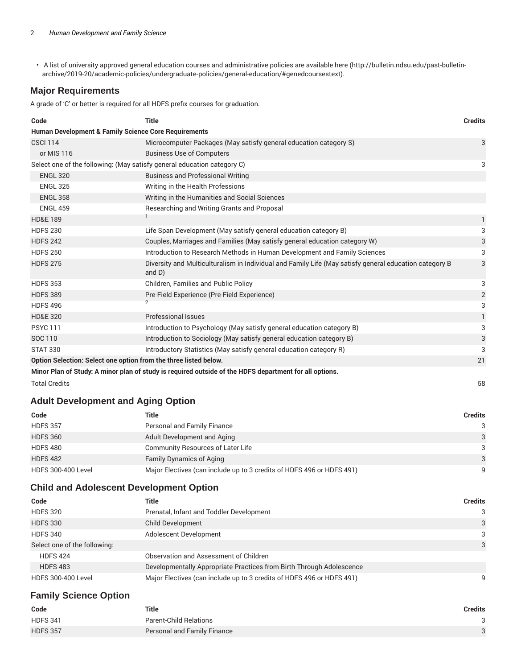• A list of university approved general education courses and administrative policies are available here (http://bulletin.ndsu.edu/past-bulletinarchive/2019-20/academic-policies/undergraduate-policies/general-education/#genedcoursestext).

## **Major Requirements**

A grade of 'C' or better is required for all HDFS prefix courses for graduation.

| Code                                                                                                   | <b>Title</b>                                                                                                        | <b>Credits</b> |  |
|--------------------------------------------------------------------------------------------------------|---------------------------------------------------------------------------------------------------------------------|----------------|--|
| <b>Human Development &amp; Family Science Core Requirements</b>                                        |                                                                                                                     |                |  |
| <b>CSCI 114</b>                                                                                        | Microcomputer Packages (May satisfy general education category S)                                                   | 3              |  |
| or MIS 116                                                                                             | <b>Business Use of Computers</b>                                                                                    |                |  |
| Select one of the following: (May satisfy general education category C)                                |                                                                                                                     | 3              |  |
| <b>ENGL 320</b>                                                                                        | <b>Business and Professional Writing</b>                                                                            |                |  |
| <b>ENGL 325</b>                                                                                        | Writing in the Health Professions                                                                                   |                |  |
| <b>ENGL 358</b>                                                                                        | Writing in the Humanities and Social Sciences                                                                       |                |  |
| <b>ENGL 459</b>                                                                                        | Researching and Writing Grants and Proposal                                                                         |                |  |
| <b>HD&amp;E 189</b>                                                                                    |                                                                                                                     | 1              |  |
| <b>HDFS 230</b>                                                                                        | Life Span Development (May satisfy general education category B)                                                    | 3              |  |
| <b>HDFS 242</b>                                                                                        | Couples, Marriages and Families (May satisfy general education category W)                                          | 3              |  |
| <b>HDFS 250</b>                                                                                        | Introduction to Research Methods in Human Development and Family Sciences                                           | 3              |  |
| <b>HDFS 275</b>                                                                                        | Diversity and Multiculturalism in Individual and Family Life (May satisfy general education category B<br>and $D$ ) | 3              |  |
| <b>HDFS 353</b>                                                                                        | Children, Families and Public Policy                                                                                | 3              |  |
| <b>HDFS 389</b>                                                                                        | Pre-Field Experience (Pre-Field Experience)                                                                         | $\overline{2}$ |  |
| <b>HDFS 496</b>                                                                                        | $\overline{2}$                                                                                                      | 3              |  |
| <b>HD&amp;E 320</b>                                                                                    | Professional Issues                                                                                                 | $\mathbf{1}$   |  |
| <b>PSYC 111</b>                                                                                        | Introduction to Psychology (May satisfy general education category B)                                               | 3              |  |
| SOC 110                                                                                                | Introduction to Sociology (May satisfy general education category B)                                                | 3              |  |
| <b>STAT 330</b>                                                                                        | Introductory Statistics (May satisfy general education category R)                                                  | 3              |  |
| Option Selection: Select one option from the three listed below.                                       |                                                                                                                     | 21             |  |
| Minor Plan of Study: A minor plan of study is required outside of the HDFS department for all options. |                                                                                                                     |                |  |

Total Credits 58

## **Adult Development and Aging Option**

| Code                      | Title                                                                 | Credits      |
|---------------------------|-----------------------------------------------------------------------|--------------|
| <b>HDFS 357</b>           | Personal and Family Finance                                           | 3            |
| <b>HDFS 360</b>           | Adult Development and Aging                                           | $\mathbf{3}$ |
| <b>HDFS 480</b>           | <b>Community Resources of Later Life</b>                              | 3            |
| <b>HDFS 482</b>           | <b>Family Dynamics of Aging</b>                                       | 3            |
| <b>HDFS 300-400 Level</b> | Major Electives (can include up to 3 credits of HDFS 496 or HDFS 491) | q            |

#### **Child and Adolescent Development Option**

| Code                         | Title                                                                 | <b>Credits</b> |
|------------------------------|-----------------------------------------------------------------------|----------------|
| <b>HDFS 320</b>              | Prenatal, Infant and Toddler Development                              | $\mathcal{B}$  |
| <b>HDFS 330</b>              | <b>Child Development</b>                                              | 3              |
| <b>HDFS 340</b>              | Adolescent Development                                                | 3              |
| Select one of the following: |                                                                       | 3              |
| <b>HDFS 424</b>              | Observation and Assessment of Children                                |                |
| <b>HDFS 483</b>              | Developmentally Appropriate Practices from Birth Through Adolescence  |                |
| <b>HDFS 300-400 Level</b>    | Major Electives (can include up to 3 credits of HDFS 496 or HDFS 491) | q              |

# **Family Science Option**

| Code            | <b>Title</b>                  | Credits |
|-----------------|-------------------------------|---------|
| <b>HDFS 341</b> | <b>Parent-Child Relations</b> |         |
| <b>HDFS 357</b> | Personal and Family Finance   |         |